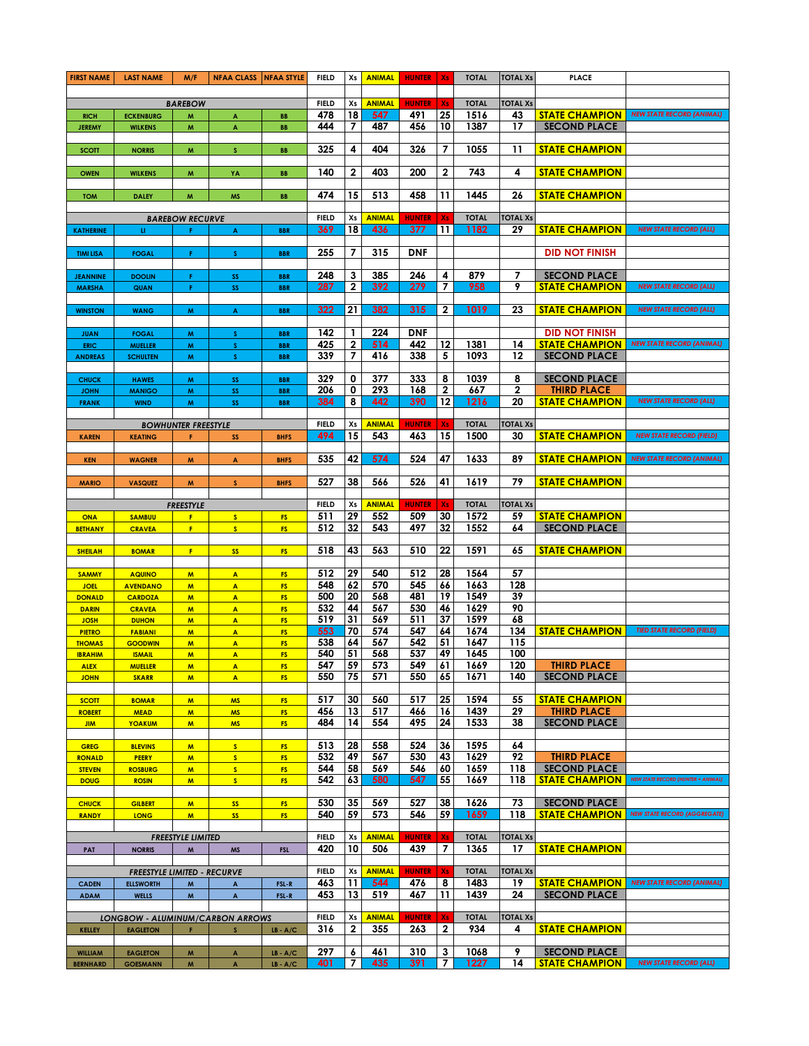| <b>FIRST NAME</b>                | <b>LAST NAME</b>                        | M/F                                                    | <b>NFAA CLASS   NFAA STYLE</b>                |                          | <b>FIELD</b>        | Xs                | <b>ANIMAL</b>        | <b>HUNTER</b>   Xs   |                     | <b>TOTAL</b>         | <b>TOTAL Xs</b>       | <b>PLACE</b>                                        |                                                    |
|----------------------------------|-----------------------------------------|--------------------------------------------------------|-----------------------------------------------|--------------------------|---------------------|-------------------|----------------------|----------------------|---------------------|----------------------|-----------------------|-----------------------------------------------------|----------------------------------------------------|
|                                  |                                         |                                                        |                                               |                          |                     |                   |                      |                      |                     |                      |                       |                                                     |                                                    |
|                                  |                                         | <b>BAREBOW</b>                                         |                                               |                          | <b>FIELD</b><br>478 | Xs<br>18          | <b>ANIMAL</b><br>547 | <b>HUNTER</b><br>491 | Xs<br>25            | <b>TOTAL</b><br>1516 | <b>TOTAL Xs</b><br>43 | <b>STATE CHAMPION</b>                               | <b>NEW STATE RECORD (ANIMAL)</b>                   |
| <b>RICH</b><br><b>JEREMY</b>     | <b>ECKENBURG</b><br><b>WILKENS</b>      | W<br>M                                                 | $\blacktriangle$<br>$\boldsymbol{\mathsf{A}}$ | BB<br>BB                 | 444                 | 7                 | 487                  | 456                  | 10                  | 1387                 | 17                    | <b>SECOND PLACE</b>                                 |                                                    |
|                                  |                                         |                                                        |                                               |                          |                     |                   |                      |                      |                     |                      |                       |                                                     |                                                    |
| <b>SCOTT</b>                     | <b>NORRIS</b>                           | W                                                      | <b>S</b>                                      | <b>BB</b>                | 325                 | 4                 | 404                  | 326                  | 7                   | 1055                 | 11                    | <b>STATE CHAMPION</b>                               |                                                    |
|                                  |                                         |                                                        |                                               |                          |                     |                   |                      |                      |                     |                      |                       |                                                     |                                                    |
| <b>OWEN</b>                      | <b>WILKENS</b>                          | M                                                      | YA                                            | BB                       | 140                 | 2                 | 403                  | 200                  | $\mathbf 2$         | 743                  | 4                     | <b><i>STATE CHAMPION</i></b>                        |                                                    |
|                                  |                                         |                                                        |                                               |                          |                     |                   |                      |                      |                     |                      |                       |                                                     |                                                    |
| <b>TOM</b>                       | <b>DALEY</b>                            | M                                                      | <b>MS</b>                                     | BB                       | 474                 | 15                | 513                  | 458                  | 11                  | 1445                 | 26                    | <b>STATE CHAMPION</b>                               |                                                    |
| <b>BAREBOW RECURVE</b>           |                                         |                                                        |                                               |                          |                     | Xs                | <b>ANIMAL</b>        | <b>HUNTER</b>        | Xs                  | <b>TOTAL</b>         | <b>TOTAL Xs</b>       |                                                     |                                                    |
| <b>KATHERINE</b>                 | u                                       | F.                                                     | A                                             | <b>BBR</b>               | <b>FIELD</b><br>369 | 18                | 436                  | 377                  | 11                  | 1182                 | 29                    | <b><i>STATE CHAMPION</i></b>                        | <b>NEW STATE RECORD (ALL)</b>                      |
|                                  |                                         |                                                        |                                               |                          |                     |                   |                      |                      |                     |                      |                       |                                                     |                                                    |
| <b>TIMI LISA</b>                 | <b>FOGAL</b>                            | F.                                                     | S.                                            | <b>BBR</b>               | 255                 | 7                 | 315                  | <b>DNF</b>           |                     |                      |                       | <b>DID NOT FINISH</b>                               |                                                    |
|                                  |                                         |                                                        |                                               |                          |                     |                   |                      |                      |                     |                      |                       |                                                     |                                                    |
| <b>JEANNINE</b><br><b>MARSHA</b> | <b>DOOLIN</b><br>QUAN                   | F.<br>F.                                               | SS<br>SS                                      | <b>BBR</b><br><b>BBR</b> | 248<br>287          | 3<br>$\mathbf{2}$ | 385<br>392           | 246<br>279           | 4<br>$\overline{7}$ | 879<br>958           | 7<br>9                | <b>SECOND PLACE</b><br><b><i>STATE CHAMPION</i></b> | <b>NEW STATE RECORD (ALL)</b>                      |
|                                  |                                         |                                                        |                                               |                          |                     |                   |                      |                      |                     |                      |                       |                                                     |                                                    |
| <b>WINSTON</b>                   | <b>WANG</b>                             | M                                                      | A                                             | <b>BBR</b>               | 322                 | 21                | 382                  | 315                  | $\mathbf{2}$        | 1019                 | 23                    | <b>STATE CHAMPION</b>                               | <b>NEW STATE RECORD (ALL)</b>                      |
|                                  |                                         |                                                        |                                               |                          |                     |                   |                      |                      |                     |                      |                       |                                                     |                                                    |
| <b>JUAN</b>                      | <b>FOGAL</b>                            | M                                                      | $\mathsf{s}$                                  | <b>BBR</b>               | 142                 | $\mathbf{1}$      | 224                  | <b>DNF</b>           |                     |                      |                       | <b>DID NOT FINISH</b>                               |                                                    |
| <b>ERIC</b>                      | <b>MUELLER</b>                          | M                                                      | $\mathbf S$                                   | <b>BBR</b>               | 425                 | $\mathbf 2$       | 514                  | 442                  | 12                  | 1381                 | 14                    | <b>STATE CHAMPION</b>                               | <b>NEW STATE RECORD (ANIMAL)</b>                   |
| <b>ANDREAS</b>                   | <b>SCHULTEN</b>                         | M                                                      | $\mathbf{s}$                                  | <b>BBR</b>               | 339                 | 7                 | 416                  | 338                  | 5                   | 1093                 | 12                    | <b>SECOND PLACE</b>                                 |                                                    |
| <b>CHUCK</b>                     | <b>HAWES</b>                            | W                                                      | SS                                            | <b>BBR</b>               | 329                 | 0                 | 377                  | 333                  | 8                   | 1039                 | 8                     | <b>SECOND PLACE</b>                                 |                                                    |
| <b>JOHN</b>                      | <b>MANIGO</b>                           | W                                                      | SS                                            | <b>BBR</b>               | 206                 | 0                 | 293                  | 168                  | $\mathbf{2}$        | 667                  | $\overline{2}$        | <b>THIRD PLACE</b>                                  |                                                    |
| <b>FRANK</b>                     | <b>WIND</b>                             | M                                                      | SS                                            | <b>BBR</b>               | 384                 | 8                 | 442                  | 390                  | $12 \,$             | 1216                 | 20                    | <b>STATE CHAMPION</b>                               | <b>NEW STATE RECORD (ALL)</b>                      |
|                                  |                                         |                                                        |                                               |                          |                     |                   |                      |                      |                     |                      |                       |                                                     |                                                    |
|                                  |                                         | <b>BOWHUNTER FREESTYLE</b>                             |                                               |                          | <b>FIELD</b>        | Xs                | <b>ANIMAL</b>        | <b>HUNTER</b>        | Xs                  | <b>TOTAL</b>         | <b>TOTAL Xs</b>       |                                                     |                                                    |
| <b>KAREN</b>                     | <b>KEATING</b>                          |                                                        | SS                                            | <b>BHFS</b>              | 494                 | 15                | 543                  | 463                  | 15                  | 1500                 | 30                    | <b>STATE CHAMPION</b>                               | <b>NEW STATE RECORD (FIELD)</b>                    |
| <b>KEN</b>                       | <b>WAGNER</b>                           | M                                                      | $\overline{A}$                                | <b>BHFS</b>              | 535                 | 42                | 574                  | 524                  | 47                  | 1633                 | 89                    | <b>STATE CHAMPION</b>                               | <b>NEW STATE RECORD (ANIMAL)</b>                   |
|                                  |                                         |                                                        |                                               |                          |                     |                   |                      |                      |                     |                      |                       |                                                     |                                                    |
| <b>MARIO</b>                     | <b>VASQUEZ</b>                          | M                                                      | $\mathsf{s}$                                  | <b>BHFS</b>              | 527                 | 38                | 566                  | 526                  | 41                  | 1619                 | 79                    | <b>STATE CHAMPION</b>                               |                                                    |
|                                  |                                         |                                                        |                                               |                          |                     |                   |                      |                      |                     |                      |                       |                                                     |                                                    |
|                                  |                                         | <b>FREESTYLE</b>                                       |                                               |                          | <b>FIELD</b>        | Xs                | <b>ANIMAL</b>        | <b>HUNTER</b>        | Xs                  | <b>TOTAL</b>         | <b>TOTAL Xs</b>       |                                                     |                                                    |
| ONA                              | <b>SAMBUU</b>                           | F                                                      | S                                             | <b>FS</b>                | 511                 | 29                | 552                  | 509                  | 30                  | 1572                 | 59                    | <b>STATE CHAMPION</b>                               |                                                    |
| <b>BETHANY</b>                   | <b>CRAVEA</b>                           | F.                                                     | S                                             | FS.                      | 512                 | 32                | 543                  | 497                  | 32                  | 1552                 | 64                    | <b>SECOND PLACE</b>                                 |                                                    |
| <b>SHEILAH</b>                   | <b>BOMAR</b>                            | F.                                                     | <b>SS</b>                                     | <b>FS</b>                | 518                 | 43                | 563                  | 510                  | 22                  | 1591                 | 65                    | <b>STATE CHAMPION</b>                               |                                                    |
|                                  |                                         |                                                        |                                               |                          |                     |                   |                      |                      |                     |                      |                       |                                                     |                                                    |
| <b>SAMMY</b>                     | <b>AQUINO</b>                           | M                                                      | $\overline{\mathbf{A}}$                       | <b>FS</b>                | 512                 | 29                | 540                  | 512                  | 28                  | 1564                 | 57                    |                                                     |                                                    |
| <b>JOEL</b>                      | <b>AVENDANO</b>                         | M                                                      | $\mathbf{A}$                                  | <b>FS</b>                | 548                 | 62                | 570                  | 545                  | 66                  | 1663                 | 128                   |                                                     |                                                    |
| <b>DONALD</b>                    | <b>CARDOZA</b>                          | M                                                      | $\overline{\mathbf{A}}$                       | <b>FS</b>                | 500                 | 20                | 568                  | 481                  | 19                  | 1549                 | 39                    |                                                     |                                                    |
| <b>DARIN</b>                     | <b>CRAVEA</b><br><b>DUHON</b>           | M                                                      | $\blacktriangle$<br>$\overline{\mathbf{A}}$   | <b>FS</b><br><b>FS</b>   | 532<br>519          | 44<br>31          | 567<br>569           | 530<br>511           | 46<br>37            | 1629<br>1599         | 90<br>68              |                                                     |                                                    |
| <b>JOSH</b><br><b>PIETRO</b>     | <b>FABIANI</b>                          | M<br>$\overline{M}$                                    | $\overline{\mathbf{A}}$                       | <b>FS</b>                | 553                 | 70                | 574                  | 547                  | 64                  | 1674                 | 134                   | <b>STATE CHAMPION</b>                               | <b>TIED STATE RECORD (FIELD)</b>                   |
| <b>THOMAS</b>                    | <b>GOODWIN</b>                          | $\mathsf{M}$                                           | $\blacktriangle$                              | <b>FS</b>                | 538                 | 64                | 567                  | 542                  | 51                  | 1647                 | 115                   |                                                     |                                                    |
| <b>IBRAHIM</b>                   | <b>ISMAIL</b>                           | $\overline{M}$                                         | $\mathbf{A}$                                  | <b>FS</b>                | 540                 | 51                | 568                  | 537                  | 49                  | 1645                 | 100                   |                                                     |                                                    |
| <b>ALEX</b>                      | <b>MUELLER</b>                          | M                                                      | $\blacktriangle$                              | <b>FS</b>                | 547                 | 59 <sub>1</sub>   | 573                  | 549                  | 61                  | 1669                 | 120                   | <b>THIRD PLACE</b>                                  |                                                    |
| <b>JOHN</b>                      | <b>SKARR</b>                            | M                                                      | $\mathbf{A}$                                  | FS                       | 550                 | 75                | 571                  | 550                  | 65                  | 1671                 | 140                   | <b>SECOND PLACE</b>                                 |                                                    |
|                                  |                                         |                                                        |                                               |                          |                     |                   |                      |                      |                     |                      |                       |                                                     |                                                    |
| <b>SCOTT</b><br><b>ROBERT</b>    | <b>BOMAR</b><br><b>MEAD</b>             | M<br>M                                                 | <b>MS</b><br><b>MS</b>                        | <b>FS</b><br><b>FS</b>   | 517<br>456          | 30<br>13          | 560<br>517           | 517<br>466           | 25<br>16            | 1594<br>1439         | 55<br>29              | <b>STATE CHAMPION</b><br><b>THIRD PLACE</b>         |                                                    |
| <b>JIM</b>                       | YOAKUM                                  | M.                                                     | <b>MS</b>                                     | <b>FS</b>                | 484                 | 14                | 554                  | 495                  | 24                  | 1533                 | 38                    | <b>SECOND PLACE</b>                                 |                                                    |
|                                  |                                         |                                                        |                                               |                          |                     |                   |                      |                      |                     |                      |                       |                                                     |                                                    |
| <b>GREG</b>                      | <b>BLEVINS</b>                          | M                                                      | S                                             | <b>FS</b>                | 513                 | 28                | 558                  | 524                  | 36                  | 1595                 | 64                    |                                                     |                                                    |
| <b>RONALD</b>                    | PEERY                                   | $\mathsf{M}$                                           | S                                             | <b>FS</b>                | 532                 | 49                | 567                  | 530                  | 43                  | 1629                 | 92                    | <b>THIRD PLACE</b>                                  |                                                    |
| <b>STEVEN</b>                    | <b>ROSBURG</b>                          | M                                                      | S                                             | <b>FS</b>                | 544                 | 58                | 569                  | 546                  | 60                  | 1659                 | 118                   | <b>SECOND PLACE</b>                                 |                                                    |
| <b>DOUG</b>                      | <b>ROSIN</b>                            | M                                                      | S                                             | FS.                      | 542                 | 63                | 580                  | 547                  | 55                  | 1669                 | 118                   | <b>STATE CHAMPION</b>                               | <b>NEW STATE RECORD (HUNTER + ANIMAL)</b>          |
| <b>CHUCK</b>                     | <b>GILBERT</b>                          | M.                                                     | <b>SS</b>                                     | <b>FS</b>                | 530                 | 35                | 569                  | 527                  | 38                  | 1626                 | 73                    | <b>SECOND PLACE</b>                                 |                                                    |
| <b>RANDY</b>                     | <b>LONG</b>                             | M.                                                     | <b>SS</b>                                     | <b>FS</b>                | 540                 | 59                | 573                  | 546                  | 59                  | 1659                 | 118                   |                                                     | <b>STATE CHAMPION</b> NEW STATE RECORD (AGGREGATE) |
|                                  |                                         |                                                        |                                               |                          |                     |                   |                      |                      |                     |                      |                       |                                                     |                                                    |
|                                  |                                         | <b>FREESTYLE LIMITED</b>                               |                                               |                          | <b>FIELD</b>        | Xs                | <b>ANIMAL</b>        | <b>HUNTER</b>        | Xs                  | <b>TOTAL</b>         | <b>TOTAL Xs</b>       |                                                     |                                                    |
| PAT                              | <b>NORRIS</b>                           | $\mathsf{M}$                                           | <b>MS</b>                                     | <b>FSL</b>               | 420                 | 10                | 506                  | 439                  | 7                   | 1365                 | 17                    | <b>STATE CHAMPION</b>                               |                                                    |
|                                  |                                         |                                                        |                                               |                          |                     |                   |                      |                      |                     |                      |                       |                                                     |                                                    |
|                                  | <b>FREESTYLE LIMITED - RECURVE</b>      |                                                        |                                               |                          | <b>FIELD</b><br>463 | Xs<br>11          | <b>ANIMAL</b><br>544 | <b>HUNTER</b><br>476 | Xs<br>8             | <b>TOTAL</b><br>1483 | <b>TOTAL Xs</b><br>19 |                                                     | <b>STATE CHAMPION</b> NEW STATE RECORD (ANIMAL)    |
| <b>CADEN</b><br><b>ADAM</b>      | <b>ELLSWORTH</b><br><b>WELLS</b>        | $\boldsymbol{\mathsf{M}}$<br>$\boldsymbol{\mathsf{M}}$ | $\blacktriangle$<br>$\blacktriangle$          | FSL-R<br>FSL-R           | 453                 | 13                | 519                  | 467                  | 11                  | 1439                 | 24                    | <b>SECOND PLACE</b>                                 |                                                    |
|                                  |                                         |                                                        |                                               |                          |                     |                   |                      |                      |                     |                      |                       |                                                     |                                                    |
|                                  | <b>LONGBOW - ALUMINUM/CARBON ARROWS</b> |                                                        |                                               |                          | <b>FIELD</b>        | Xs                | <b>ANIMAL</b>        | <b>HUNTER</b>        | Xs                  | <b>TOTAL</b>         | <b>TOTAL Xs</b>       |                                                     |                                                    |
| <b>KELLEY</b>                    | <b>EAGLETON</b>                         | F.                                                     | S                                             | $LB - A/C$               | 316                 | $\mathbf{2}$      | 355                  | 263                  | $\mathbf{2}$        | 934                  | 4                     | <b>STATE CHAMPION</b>                               |                                                    |
|                                  |                                         |                                                        |                                               |                          |                     |                   |                      |                      |                     |                      |                       |                                                     |                                                    |
| <b>WILLIAM</b>                   | <b>EAGLETON</b>                         | M                                                      | $\blacktriangle$                              | $LB - A/C$               | 297                 | 6                 | 461                  | 310                  | 3                   | 1068                 | 9                     | <b>SECOND PLACE</b>                                 |                                                    |
| <b>BERNHARD</b>                  | <b>GOESMANN</b>                         | M                                                      | $\blacktriangle$                              | $LB - A/C$               | 401                 | 7                 | 435                  | 391                  | $\overline{7}$      | 1227                 | 14                    | <b>STATE CHAMPION</b>                               | <b>NEW STATE RECORD (ALL)</b>                      |